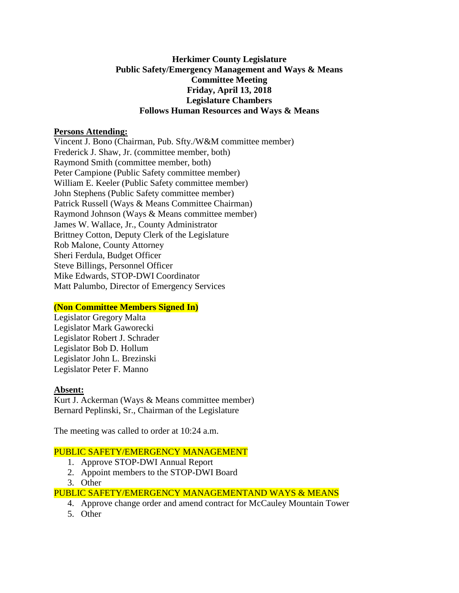#### **Herkimer County Legislature Public Safety/Emergency Management and Ways & Means Committee Meeting Friday, April 13, 2018 Legislature Chambers Follows Human Resources and Ways & Means**

#### **Persons Attending:**

Vincent J. Bono (Chairman, Pub. Sfty./W&M committee member) Frederick J. Shaw, Jr. (committee member, both) Raymond Smith (committee member, both) Peter Campione (Public Safety committee member) William E. Keeler (Public Safety committee member) John Stephens (Public Safety committee member) Patrick Russell (Ways & Means Committee Chairman) Raymond Johnson (Ways & Means committee member) James W. Wallace, Jr., County Administrator Brittney Cotton, Deputy Clerk of the Legislature Rob Malone, County Attorney Sheri Ferdula, Budget Officer Steve Billings, Personnel Officer Mike Edwards, STOP-DWI Coordinator Matt Palumbo, Director of Emergency Services

## **(Non Committee Members Signed In)**

Legislator Gregory Malta Legislator Mark Gaworecki Legislator Robert J. Schrader Legislator Bob D. Hollum Legislator John L. Brezinski Legislator Peter F. Manno

#### **Absent:**

Kurt J. Ackerman (Ways & Means committee member) Bernard Peplinski, Sr., Chairman of the Legislature

The meeting was called to order at 10:24 a.m.

## PUBLIC SAFETY/EMERGENCY MANAGEMENT

- 1. Approve STOP-DWI Annual Report
- 2. Appoint members to the STOP-DWI Board
- 3. Other

#### PUBLIC SAFETY/EMERGENCY MANAGEMENTAND WAYS & MEANS

- 4. Approve change order and amend contract for McCauley Mountain Tower
- 5. Other